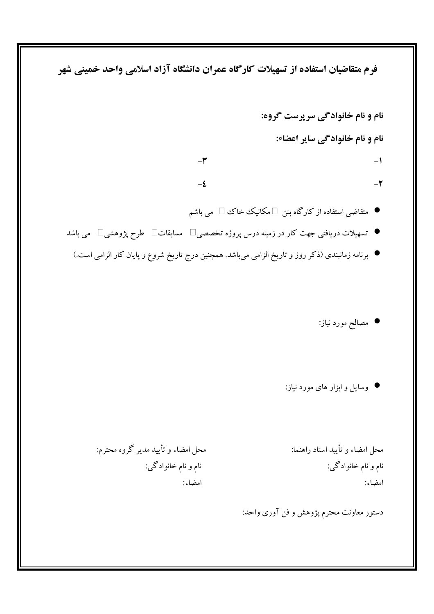فرم متقاضیان استفاده از تسهیلات کارگاه عمران دانشگاه آزاد اسلامی واحد خمینی شهر

نام و نام خانوادگی سرپرست گروه: نام و نام خانوادگی سایر اعضاء:  $-\tau$  $-1$  $-\xi$  $-\tau$ 

- متقاضی استفاده از کارگاه بتن □مکانیک خاک □ می باشم
- تسهیلات دریافتی جهت کار در زمینه درس پروژه تخصصی $\Box$  مسابقات $\Box$  طرح پژوهشی $\Box$  می باشد
- برنامه زمانبندی (ذکر روز و تاریخ الزامی میباشد. همچنین درج تاریخ شروع و پایان کار الزامی است.)

**•** مصالح مورد نیاز:

● وسایل و ابزار های مورد نیاز:

محل امضاء و تأييد استاد راهنما: نام و نام خانوادگی: امضاء:

محل امضاء و تأييد مدير گروه محترم: نام و نام خانوادگي: امضاء:

دستور معاونت محترم پژوهش و فن آوری واحد: